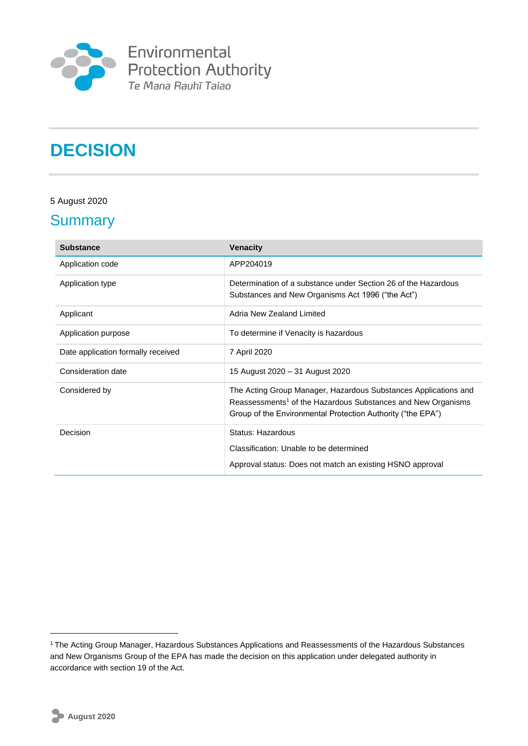

Environmental<br>Protection Authority<br>Te Mana Rauhī Taiao

# **DECISION**

#### 5 August 2020

### **Summary**

| <b>Substance</b>                   | <b>Venacity</b>                                                                                                                                                                                            |
|------------------------------------|------------------------------------------------------------------------------------------------------------------------------------------------------------------------------------------------------------|
| Application code                   | APP204019                                                                                                                                                                                                  |
| Application type                   | Determination of a substance under Section 26 of the Hazardous<br>Substances and New Organisms Act 1996 ("the Act")                                                                                        |
| Applicant                          | Adria New Zealand Limited                                                                                                                                                                                  |
| Application purpose                | To determine if Venacity is hazardous                                                                                                                                                                      |
| Date application formally received | 7 April 2020                                                                                                                                                                                               |
| Consideration date                 | 15 August 2020 - 31 August 2020                                                                                                                                                                            |
| Considered by                      | The Acting Group Manager, Hazardous Substances Applications and<br>Reassessments <sup>1</sup> of the Hazardous Substances and New Organisms<br>Group of the Environmental Protection Authority ("the EPA") |
| Decision                           | Status: Hazardous                                                                                                                                                                                          |
|                                    | Classification: Unable to be determined                                                                                                                                                                    |
|                                    | Approval status: Does not match an existing HSNO approval                                                                                                                                                  |

1

<sup>1</sup>The Acting Group Manager, Hazardous Substances Applications and Reassessments of the Hazardous Substances and New Organisms Group of the EPA has made the decision on this application under delegated authority in accordance with section 19 of the Act.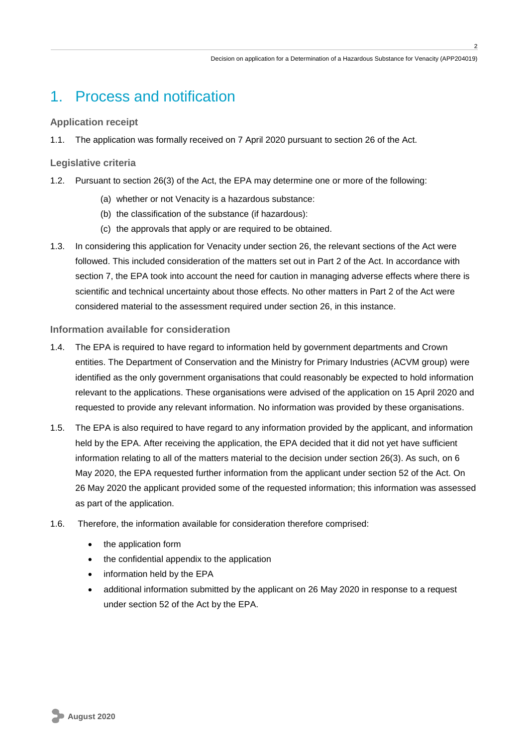**2**

### 1. Process and notification

#### **Application receipt**

1.1. The application was formally received on 7 April 2020 pursuant to section 26 of the Act.

#### **Legislative criteria**

- 1.2. Pursuant to section 26(3) of the Act, the EPA may determine one or more of the following:
	- (a) whether or not Venacity is a hazardous substance:
	- (b) the classification of the substance (if hazardous):
	- (c) the approvals that apply or are required to be obtained.
- 1.3. In considering this application for Venacity under section 26, the relevant sections of the Act were followed. This included consideration of the matters set out in Part 2 of the Act. In accordance with section 7, the EPA took into account the need for caution in managing adverse effects where there is scientific and technical uncertainty about those effects. No other matters in Part 2 of the Act were considered material to the assessment required under section 26, in this instance.

#### **Information available for consideration**

- 1.4. The EPA is required to have regard to information held by government departments and Crown entities. The Department of Conservation and the Ministry for Primary Industries (ACVM group) were identified as the only government organisations that could reasonably be expected to hold information relevant to the applications. These organisations were advised of the application on 15 April 2020 and requested to provide any relevant information. No information was provided by these organisations.
- 1.5. The EPA is also required to have regard to any information provided by the applicant, and information held by the EPA. After receiving the application, the EPA decided that it did not yet have sufficient information relating to all of the matters material to the decision under section 26(3). As such, on 6 May 2020, the EPA requested further information from the applicant under section 52 of the Act. On 26 May 2020 the applicant provided some of the requested information; this information was assessed as part of the application.
- 1.6. Therefore, the information available for consideration therefore comprised:
	- the application form
	- the confidential appendix to the application
	- information held by the EPA
	- additional information submitted by the applicant on 26 May 2020 in response to a request under section 52 of the Act by the EPA.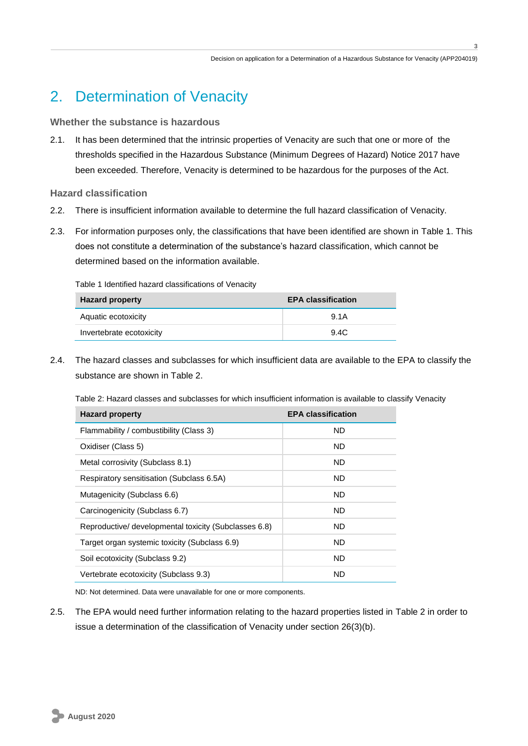**3**

## 2. Determination of Venacity

#### **Whether the substance is hazardous**

2.1. It has been determined that the intrinsic properties of Venacity are such that one or more of the thresholds specified in the Hazardous Substance (Minimum Degrees of Hazard) Notice 2017 have been exceeded. Therefore, Venacity is determined to be hazardous for the purposes of the Act.

**Hazard classification**

- 2.2. There is insufficient information available to determine the full hazard classification of Venacity.
- 2.3. For information purposes only, the classifications that have been identified are shown in Table 1. This does not constitute a determination of the substance's hazard classification, which cannot be determined based on the information available.

Table 1 Identified hazard classifications of Venacity

| <b>Hazard property</b>   | <b>EPA classification</b> |
|--------------------------|---------------------------|
| Aquatic ecotoxicity      | 9.1A                      |
| Invertebrate ecotoxicity | 9.4C                      |

2.4. The hazard classes and subclasses for which insufficient data are available to the EPA to classify the substance are shown in Table 2.

Table 2: Hazard classes and subclasses for which insufficient information is available to classify Venacity

| <b>Hazard property</b>                                | <b>EPA classification</b> |
|-------------------------------------------------------|---------------------------|
| Flammability / combustibility (Class 3)               | ND.                       |
| Oxidiser (Class 5)                                    | ND.                       |
| Metal corrosivity (Subclass 8.1)                      | <b>ND</b>                 |
| Respiratory sensitisation (Subclass 6.5A)             | ND.                       |
| Mutagenicity (Subclass 6.6)                           | <b>ND</b>                 |
| Carcinogenicity (Subclass 6.7)                        | ND.                       |
| Reproductive/ developmental toxicity (Subclasses 6.8) | ND.                       |
| Target organ systemic toxicity (Subclass 6.9)         | ND.                       |
| Soil ecotoxicity (Subclass 9.2)                       | ND.                       |
| Vertebrate ecotoxicity (Subclass 9.3)                 | <b>ND</b>                 |

ND: Not determined. Data were unavailable for one or more components.

2.5. The EPA would need further information relating to the hazard properties listed in Table 2 in order to issue a determination of the classification of Venacity under section 26(3)(b).